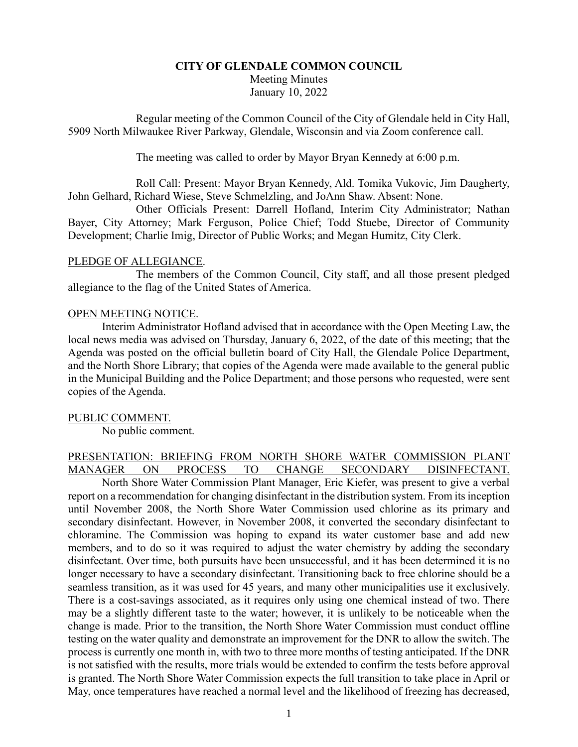# **CITY OF GLENDALE COMMON COUNCIL** Meeting Minutes January 10, 2022

Regular meeting of the Common Council of the City of Glendale held in City Hall, 5909 North Milwaukee River Parkway, Glendale, Wisconsin and via Zoom conference call.

The meeting was called to order by Mayor Bryan Kennedy at 6:00 p.m.

Roll Call: Present: Mayor Bryan Kennedy, Ald. Tomika Vukovic, Jim Daugherty, John Gelhard, Richard Wiese, Steve Schmelzling, and JoAnn Shaw. Absent: None.

Other Officials Present: Darrell Hofland, Interim City Administrator; Nathan Bayer, City Attorney; Mark Ferguson, Police Chief; Todd Stuebe, Director of Community Development; Charlie Imig, Director of Public Works; and Megan Humitz, City Clerk.

### PLEDGE OF ALLEGIANCE.

The members of the Common Council, City staff, and all those present pledged allegiance to the flag of the United States of America.

### OPEN MEETING NOTICE.

Interim Administrator Hofland advised that in accordance with the Open Meeting Law, the local news media was advised on Thursday, January 6, 2022, of the date of this meeting; that the Agenda was posted on the official bulletin board of City Hall, the Glendale Police Department, and the North Shore Library; that copies of the Agenda were made available to the general public in the Municipal Building and the Police Department; and those persons who requested, were sent copies of the Agenda.

#### PUBLIC COMMENT.

No public comment.

### PRESENTATION: BRIEFING FROM NORTH SHORE WATER COMMISSION PLANT MANAGER ON PROCESS TO CHANGE SECONDARY DISINFECTANT.

North Shore Water Commission Plant Manager, Eric Kiefer, was present to give a verbal report on a recommendation for changing disinfectant in the distribution system. From its inception until November 2008, the North Shore Water Commission used chlorine as its primary and secondary disinfectant. However, in November 2008, it converted the secondary disinfectant to chloramine. The Commission was hoping to expand its water customer base and add new members, and to do so it was required to adjust the water chemistry by adding the secondary disinfectant. Over time, both pursuits have been unsuccessful, and it has been determined it is no longer necessary to have a secondary disinfectant. Transitioning back to free chlorine should be a seamless transition, as it was used for 45 years, and many other municipalities use it exclusively. There is a cost-savings associated, as it requires only using one chemical instead of two. There may be a slightly different taste to the water; however, it is unlikely to be noticeable when the change is made. Prior to the transition, the North Shore Water Commission must conduct offline testing on the water quality and demonstrate an improvement for the DNR to allow the switch. The process is currently one month in, with two to three more months of testing anticipated. If the DNR is not satisfied with the results, more trials would be extended to confirm the tests before approval is granted. The North Shore Water Commission expects the full transition to take place in April or May, once temperatures have reached a normal level and the likelihood of freezing has decreased,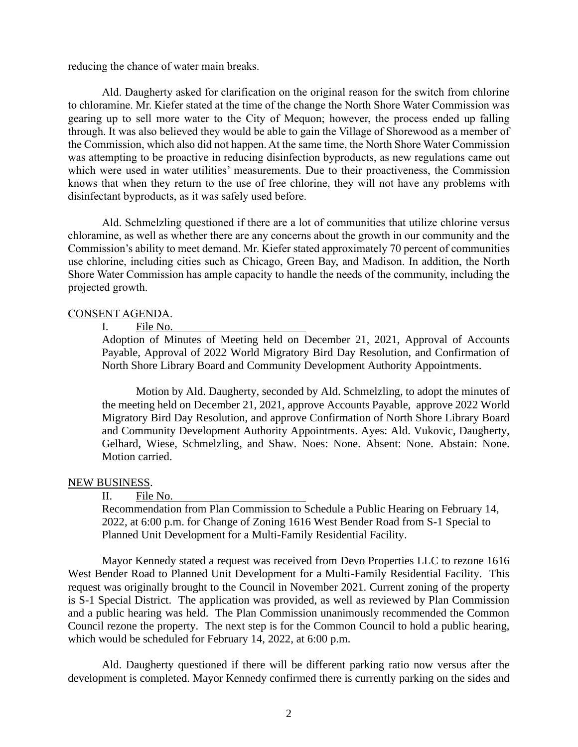reducing the chance of water main breaks.

Ald. Daugherty asked for clarification on the original reason for the switch from chlorine to chloramine. Mr. Kiefer stated at the time of the change the North Shore Water Commission was gearing up to sell more water to the City of Mequon; however, the process ended up falling through. It was also believed they would be able to gain the Village of Shorewood as a member of the Commission, which also did not happen. At the same time, the North Shore Water Commission was attempting to be proactive in reducing disinfection byproducts, as new regulations came out which were used in water utilities' measurements. Due to their proactiveness, the Commission knows that when they return to the use of free chlorine, they will not have any problems with disinfectant byproducts, as it was safely used before.

Ald. Schmelzling questioned if there are a lot of communities that utilize chlorine versus chloramine, as well as whether there are any concerns about the growth in our community and the Commission's ability to meet demand. Mr. Kiefer stated approximately 70 percent of communities use chlorine, including cities such as Chicago, Green Bay, and Madison. In addition, the North Shore Water Commission has ample capacity to handle the needs of the community, including the projected growth.

#### CONSENT AGENDA.

#### I. File No.

Adoption of Minutes of Meeting held on December 21, 2021, Approval of Accounts Payable, Approval of 2022 World Migratory Bird Day Resolution, and Confirmation of North Shore Library Board and Community Development Authority Appointments.

Motion by Ald. Daugherty, seconded by Ald. Schmelzling, to adopt the minutes of the meeting held on December 21, 2021, approve Accounts Payable, approve 2022 World Migratory Bird Day Resolution, and approve Confirmation of North Shore Library Board and Community Development Authority Appointments. Ayes: Ald. Vukovic, Daugherty, Gelhard, Wiese, Schmelzling, and Shaw. Noes: None. Absent: None. Abstain: None. Motion carried.

#### NEW BUSINESS.

#### II. File No.

Recommendation from Plan Commission to Schedule a Public Hearing on February 14, 2022, at 6:00 p.m. for Change of Zoning 1616 West Bender Road from S-1 Special to Planned Unit Development for a Multi-Family Residential Facility.

Mayor Kennedy stated a request was received from Devo Properties LLC to rezone 1616 West Bender Road to Planned Unit Development for a Multi-Family Residential Facility. This request was originally brought to the Council in November 2021. Current zoning of the property is S-1 Special District. The application was provided, as well as reviewed by Plan Commission and a public hearing was held. The Plan Commission unanimously recommended the Common Council rezone the property. The next step is for the Common Council to hold a public hearing, which would be scheduled for February 14, 2022, at 6:00 p.m.

Ald. Daugherty questioned if there will be different parking ratio now versus after the development is completed. Mayor Kennedy confirmed there is currently parking on the sides and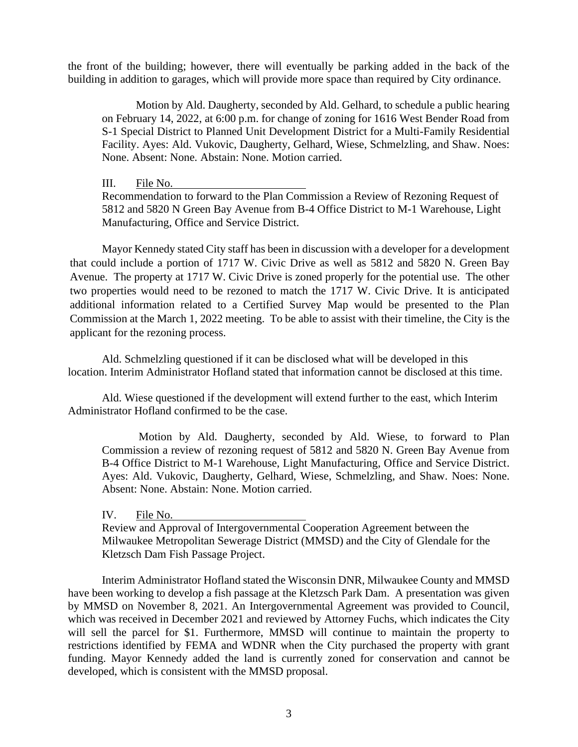the front of the building; however, there will eventually be parking added in the back of the building in addition to garages, which will provide more space than required by City ordinance.

Motion by Ald. Daugherty, seconded by Ald. Gelhard, to schedule a public hearing on February 14, 2022, at 6:00 p.m. for change of zoning for 1616 West Bender Road from S-1 Special District to Planned Unit Development District for a Multi-Family Residential Facility. Ayes: Ald. Vukovic, Daugherty, Gelhard, Wiese, Schmelzling, and Shaw. Noes: None. Absent: None. Abstain: None. Motion carried.

III. File No.

Recommendation to forward to the Plan Commission a Review of Rezoning Request of 5812 and 5820 N Green Bay Avenue from B-4 Office District to M-1 Warehouse, Light Manufacturing, Office and Service District.

Mayor Kennedy stated City staff has been in discussion with a developer for a development that could include a portion of 1717 W. Civic Drive as well as 5812 and 5820 N. Green Bay Avenue. The property at 1717 W. Civic Drive is zoned properly for the potential use. The other two properties would need to be rezoned to match the 1717 W. Civic Drive. It is anticipated additional information related to a Certified Survey Map would be presented to the Plan Commission at the March 1, 2022 meeting. To be able to assist with their timeline, the City is the applicant for the rezoning process.

Ald. Schmelzling questioned if it can be disclosed what will be developed in this location. Interim Administrator Hofland stated that information cannot be disclosed at this time.

Ald. Wiese questioned if the development will extend further to the east, which Interim Administrator Hofland confirmed to be the case.

Motion by Ald. Daugherty, seconded by Ald. Wiese, to forward to Plan Commission a review of rezoning request of 5812 and 5820 N. Green Bay Avenue from B-4 Office District to M-1 Warehouse, Light Manufacturing, Office and Service District. Ayes: Ald. Vukovic, Daugherty, Gelhard, Wiese, Schmelzling, and Shaw. Noes: None. Absent: None. Abstain: None. Motion carried.

IV. File No.

Review and Approval of Intergovernmental Cooperation Agreement between the Milwaukee Metropolitan Sewerage District (MMSD) and the City of Glendale for the Kletzsch Dam Fish Passage Project.

Interim Administrator Hofland stated the Wisconsin DNR, Milwaukee County and MMSD have been working to develop a fish passage at the Kletzsch Park Dam. A presentation was given by MMSD on November 8, 2021. An Intergovernmental Agreement was provided to Council, which was received in December 2021 and reviewed by Attorney Fuchs, which indicates the City will sell the parcel for \$1. Furthermore, MMSD will continue to maintain the property to restrictions identified by FEMA and WDNR when the City purchased the property with grant funding. Mayor Kennedy added the land is currently zoned for conservation and cannot be developed, which is consistent with the MMSD proposal.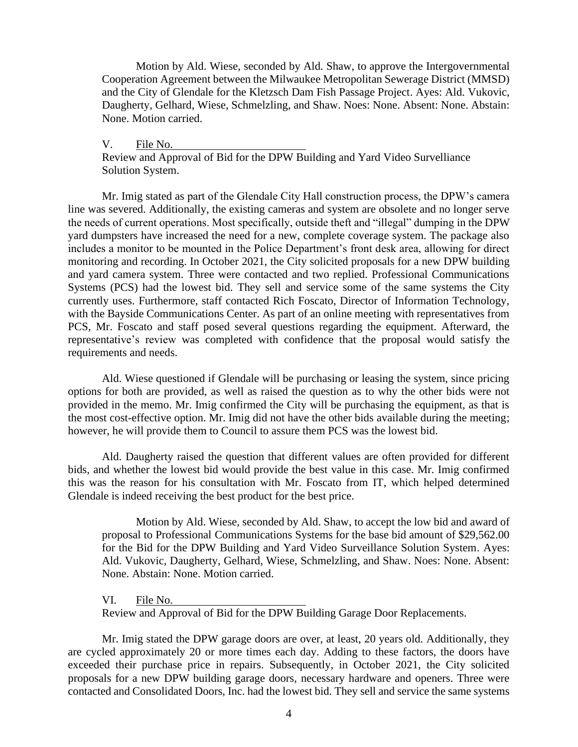Motion by Ald. Wiese, seconded by Ald. Shaw, to approve the Intergovernmental Cooperation Agreement between the Milwaukee Metropolitan Sewerage District (MMSD) and the City of Glendale for the Kletzsch Dam Fish Passage Project. Ayes: Ald. Vukovic, Daugherty, Gelhard, Wiese, Schmelzling, and Shaw. Noes: None. Absent: None. Abstain: None. Motion carried.

V. File No.

Review and Approval of Bid for the DPW Building and Yard Video Survelliance Solution System.

Mr. Imig stated as part of the Glendale City Hall construction process, the DPW's camera line was severed. Additionally, the existing cameras and system are obsolete and no longer serve the needs of current operations. Most specifically, outside theft and "illegal" dumping in the DPW yard dumpsters have increased the need for a new, complete coverage system. The package also includes a monitor to be mounted in the Police Department's front desk area, allowing for direct monitoring and recording. In October 2021, the City solicited proposals for a new DPW building and yard camera system. Three were contacted and two replied. Professional Communications Systems (PCS) had the lowest bid. They sell and service some of the same systems the City currently uses. Furthermore, staff contacted Rich Foscato, Director of Information Technology, with the Bayside Communications Center. As part of an online meeting with representatives from PCS, Mr. Foscato and staff posed several questions regarding the equipment. Afterward, the representative's review was completed with confidence that the proposal would satisfy the requirements and needs.

Ald. Wiese questioned if Glendale will be purchasing or leasing the system, since pricing options for both are provided, as well as raised the question as to why the other bids were not provided in the memo. Mr. Imig confirmed the City will be purchasing the equipment, as that is the most cost-effective option. Mr. Imig did not have the other bids available during the meeting; however, he will provide them to Council to assure them PCS was the lowest bid.

Ald. Daugherty raised the question that different values are often provided for different bids, and whether the lowest bid would provide the best value in this case. Mr. Imig confirmed this was the reason for his consultation with Mr. Foscato from IT, which helped determined Glendale is indeed receiving the best product for the best price.

Motion by Ald. Wiese, seconded by Ald. Shaw, to accept the low bid and award of proposal to Professional Communications Systems for the base bid amount of \$29,562.00 for the Bid for the DPW Building and Yard Video Surveillance Solution System. Ayes: Ald. Vukovic, Daugherty, Gelhard, Wiese, Schmelzling, and Shaw. Noes: None. Absent: None. Abstain: None. Motion carried.

VI. File No.

Review and Approval of Bid for the DPW Building Garage Door Replacements.

Mr. Imig stated the DPW garage doors are over, at least, 20 years old. Additionally, they are cycled approximately 20 or more times each day. Adding to these factors, the doors have exceeded their purchase price in repairs. Subsequently, in October 2021, the City solicited proposals for a new DPW building garage doors, necessary hardware and openers. Three were contacted and Consolidated Doors, Inc. had the lowest bid. They sell and service the same systems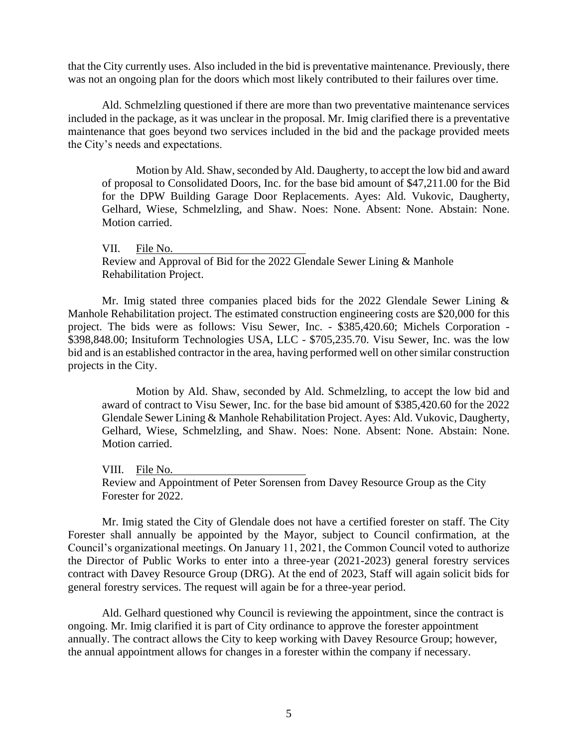that the City currently uses. Also included in the bid is preventative maintenance. Previously, there was not an ongoing plan for the doors which most likely contributed to their failures over time.

Ald. Schmelzling questioned if there are more than two preventative maintenance services included in the package, as it was unclear in the proposal. Mr. Imig clarified there is a preventative maintenance that goes beyond two services included in the bid and the package provided meets the City's needs and expectations.

Motion by Ald. Shaw, seconded by Ald. Daugherty, to accept the low bid and award of proposal to Consolidated Doors, Inc. for the base bid amount of \$47,211.00 for the Bid for the DPW Building Garage Door Replacements. Ayes: Ald. Vukovic, Daugherty, Gelhard, Wiese, Schmelzling, and Shaw. Noes: None. Absent: None. Abstain: None. Motion carried.

VII. File No. Review and Approval of Bid for the 2022 Glendale Sewer Lining & Manhole Rehabilitation Project.

Mr. Imig stated three companies placed bids for the 2022 Glendale Sewer Lining & Manhole Rehabilitation project. The estimated construction engineering costs are \$20,000 for this project. The bids were as follows: Visu Sewer, Inc. - \$385,420.60; Michels Corporation - \$398,848.00; Insituform Technologies USA, LLC - \$705,235.70. Visu Sewer, Inc. was the low bid and is an established contractor in the area, having performed well on other similar construction projects in the City.

Motion by Ald. Shaw, seconded by Ald. Schmelzling, to accept the low bid and award of contract to Visu Sewer, Inc. for the base bid amount of \$385,420.60 for the 2022 Glendale Sewer Lining & Manhole Rehabilitation Project. Ayes: Ald. Vukovic, Daugherty, Gelhard, Wiese, Schmelzling, and Shaw. Noes: None. Absent: None. Abstain: None. Motion carried.

VIII. File No.

Review and Appointment of Peter Sorensen from Davey Resource Group as the City Forester for 2022.

Mr. Imig stated the City of Glendale does not have a certified forester on staff. The City Forester shall annually be appointed by the Mayor, subject to Council confirmation, at the Council's organizational meetings. On January 11, 2021, the Common Council voted to authorize the Director of Public Works to enter into a three-year (2021-2023) general forestry services contract with Davey Resource Group (DRG). At the end of 2023, Staff will again solicit bids for general forestry services. The request will again be for a three-year period.

Ald. Gelhard questioned why Council is reviewing the appointment, since the contract is ongoing. Mr. Imig clarified it is part of City ordinance to approve the forester appointment annually. The contract allows the City to keep working with Davey Resource Group; however, the annual appointment allows for changes in a forester within the company if necessary.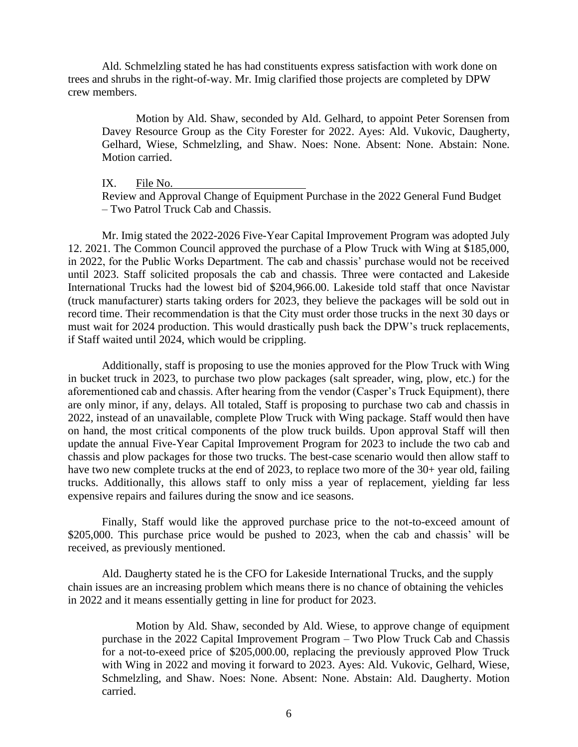Ald. Schmelzling stated he has had constituents express satisfaction with work done on trees and shrubs in the right-of-way. Mr. Imig clarified those projects are completed by DPW crew members.

Motion by Ald. Shaw, seconded by Ald. Gelhard, to appoint Peter Sorensen from Davey Resource Group as the City Forester for 2022. Ayes: Ald. Vukovic, Daugherty, Gelhard, Wiese, Schmelzling, and Shaw. Noes: None. Absent: None. Abstain: None. Motion carried.

IX. File No.

Review and Approval Change of Equipment Purchase in the 2022 General Fund Budget – Two Patrol Truck Cab and Chassis.

Mr. Imig stated the 2022-2026 Five-Year Capital Improvement Program was adopted July 12. 2021. The Common Council approved the purchase of a Plow Truck with Wing at \$185,000, in 2022, for the Public Works Department. The cab and chassis' purchase would not be received until 2023. Staff solicited proposals the cab and chassis. Three were contacted and Lakeside International Trucks had the lowest bid of \$204,966.00. Lakeside told staff that once Navistar (truck manufacturer) starts taking orders for 2023, they believe the packages will be sold out in record time. Their recommendation is that the City must order those trucks in the next 30 days or must wait for 2024 production. This would drastically push back the DPW's truck replacements, if Staff waited until 2024, which would be crippling.

Additionally, staff is proposing to use the monies approved for the Plow Truck with Wing in bucket truck in 2023, to purchase two plow packages (salt spreader, wing, plow, etc.) for the aforementioned cab and chassis. After hearing from the vendor (Casper's Truck Equipment), there are only minor, if any, delays. All totaled, Staff is proposing to purchase two cab and chassis in 2022, instead of an unavailable, complete Plow Truck with Wing package. Staff would then have on hand, the most critical components of the plow truck builds. Upon approval Staff will then update the annual Five-Year Capital Improvement Program for 2023 to include the two cab and chassis and plow packages for those two trucks. The best-case scenario would then allow staff to have two new complete trucks at the end of 2023, to replace two more of the 30+ year old, failing trucks. Additionally, this allows staff to only miss a year of replacement, yielding far less expensive repairs and failures during the snow and ice seasons.

Finally, Staff would like the approved purchase price to the not-to-exceed amount of \$205,000. This purchase price would be pushed to 2023, when the cab and chassis' will be received, as previously mentioned.

Ald. Daugherty stated he is the CFO for Lakeside International Trucks, and the supply chain issues are an increasing problem which means there is no chance of obtaining the vehicles in 2022 and it means essentially getting in line for product for 2023.

Motion by Ald. Shaw, seconded by Ald. Wiese, to approve change of equipment purchase in the 2022 Capital Improvement Program – Two Plow Truck Cab and Chassis for a not-to-exeed price of \$205,000.00, replacing the previously approved Plow Truck with Wing in 2022 and moving it forward to 2023. Ayes: Ald. Vukovic, Gelhard, Wiese, Schmelzling, and Shaw. Noes: None. Absent: None. Abstain: Ald. Daugherty. Motion carried.